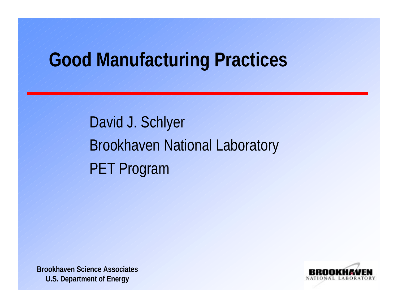#### **Good Manufacturing Practices**

David J. Schlyer Brookhaven National Laboratory PET Program

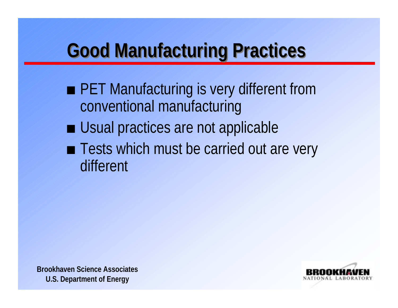## **Good Manufacturing Practices Good Manufacturing Practices**

- PET Manufacturing is very different from conventional manufacturing
- **Usual practices are not applicable**
- Tests which must be carried out are very different



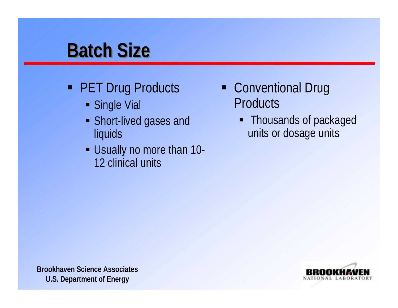#### **Batch Size**

- **PET Drug Products** 
	- **Single Vial**
	- Short-lived gases and liquids
	- Usually no more than 10- 12 clinical units
- Conventional Drug **Products** 
	- Thousands of packaged units or dosage units



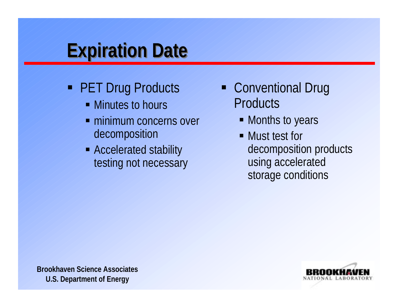## **Expiration Date Expiration Date**

- **PET Drug Products** 
	- Minutes to hours
	- **minimum concerns over** decomposition
	- Accelerated stability testing not necessary
- Conventional Drug **Products** 
	- Months to years
	- Must test for decomposition products using accelerated storage conditions

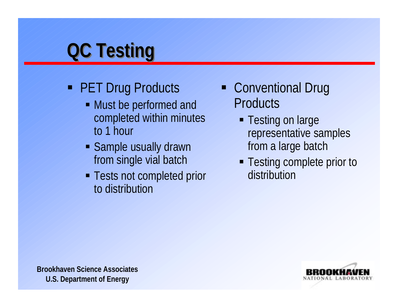# **QC Testing QC Testing**

- **PET Drug Products** 
	- Must be performed and completed within minutes to 1 hour
	- **Sample usually drawn** from single vial batch
	- **Tests not completed prior** to distribution
- Conventional Drug **Products** 
	- **Testing on large** representative samples from a large batch
	- **Testing complete prior to** distribution

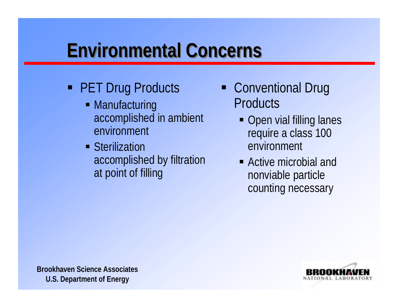## **Environmental Concerns**

- **PET Drug Products** 
	- Manufacturing accomplished in ambient environment
	- **Sterilization** accomplished by filtration at point of filling
- Conventional Drug **Products** 
	- Open vial filling lanes require a class 100 environment
	- Active microbial and nonviable particle counting necessary

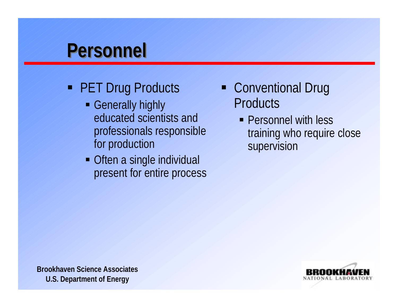#### **Personnel Personnel**

- **PET Drug Products** 
	- **Generally highly** educated scientists andprofessionals responsible for production
	- Often a single individual present for entire process
- Conventional Drug **Products** 
	- **Personnel with less** training who require close supervision

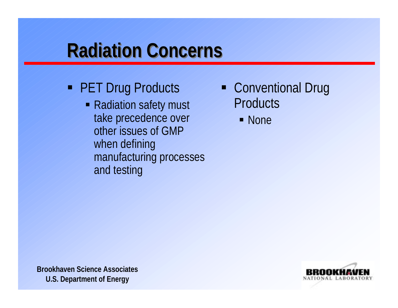## **Radiation Concerns Radiation Concerns**

- **PET Drug Products** 
	- Radiation safety must take precedence over other issues of GMPwhen defining manufacturing processes and testing
- Conventional Drug **Products** 
	- None

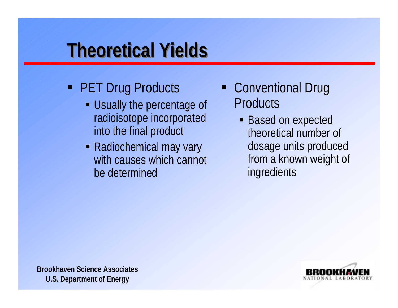## **Theoretical Yields Theoretical Yields**

- **PET Drug Products** 
	- Usually the percentage of radioisotope incorporated into the final product
	- Radiochemical may vary with causes which cannot be determined
- Conventional Drug **Products** 
	- **Based on expected** theoretical number of dosage units produced from a known weight of ingredients

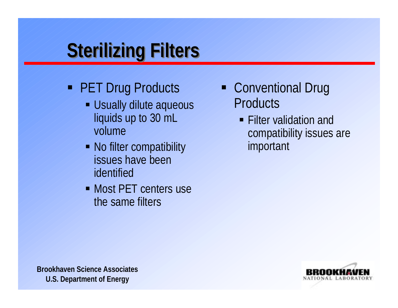# **Sterilizing Filters Sterilizing Filters**

- **PET Drug Products** 
	- **Usually dilute aqueous** liquids up to 30 mL volume
	- No filter compatibility issues have beenidentified
	- Most PET centers use the same filters
- Conventional Drug **Products** 
	- **Filter validation and** compatibility issues are important

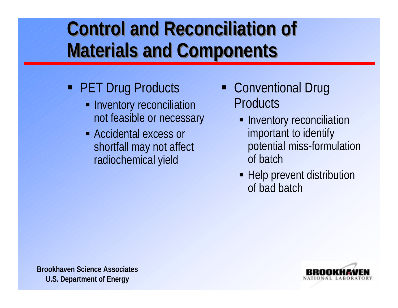#### **Control and Reconciliation of Control and Reconciliation of Materials and Components Materials and Components**

- **PET Drug Products** 
	- **Inventory reconciliation** not feasible or necessary
	- Accidental excess or shortfall may not affect radiochemical yield
- Conventional Drug **Products** 
	- **Inventory reconciliation** important to identify potential miss-formulation of batch
	- **-** Help prevent distribution of bad batch

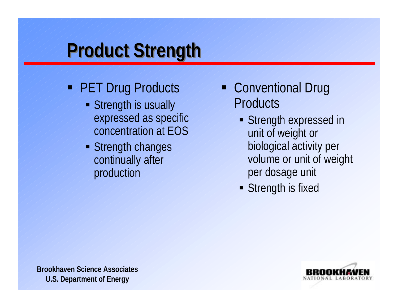# **Product Strength Product Strength**

- **PET Drug Products** 
	- Strength is usually expressed as specific concentration at EOS
	- **Strength changes** continually after production
- Conventional Drug **Products** 
	- **Strength expressed in** unit of weight or biological activity per volume or unit of weight per dosage unit
	- **Strength is fixed**



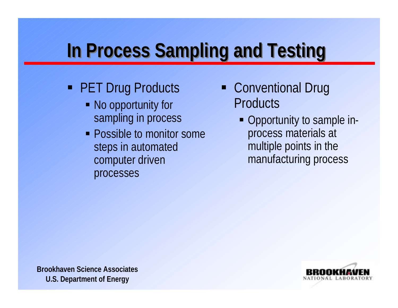# **In Process Sampling and Testing In Process Sampling and Testing**

- **PET Drug Products** 
	- No opportunity for sampling in process
	- Possible to monitor some steps in automated computer driven processes
- Conventional Drug **Products** 
	- Opportunity to sample inprocess materials at multiple points in the manufacturing process

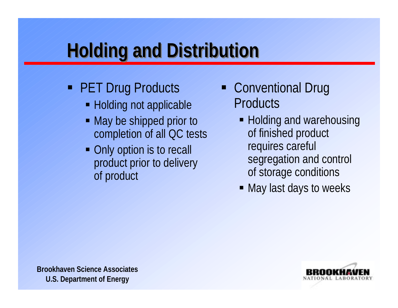# **Holding and Distribution Holding and Distribution**

- **PET Drug Products** 
	- Holding not applicable
	- May be shipped prior to completion of all QC tests
	- Only option is to recall product prior to delivery of product
- Conventional Drug **Products** 
	- Holding and warehousing of finished product requires careful segregation and control of storage conditions
	- May last days to weeks



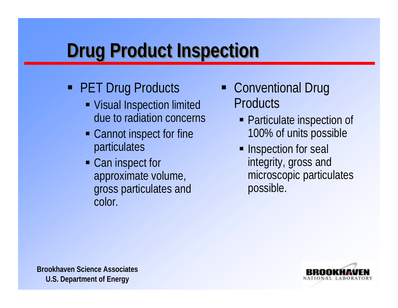## **Drug Product Inspection Drug Product Inspection**

- **PET Drug Products** 
	- Visual Inspection limited due to radiation concerns
	- Cannot inspect for fine particulates
	- Can inspect for approximate volume, gross particulates and color.
- **Conventional Drug Products** 
	- Particulate inspection of 100% of units possible
	- **Inspection for seal** integrity, gross and microscopic particulates possible.

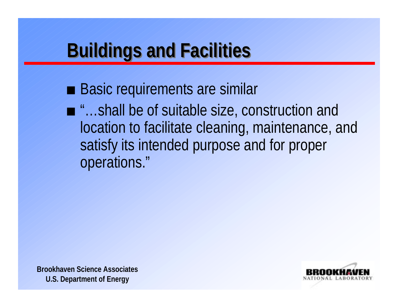## **Buildings and Facilities Buildings and Facilities**

- **Basic requirements are similar**
- "…shall be of suitable size, construction and location to facilitate cleaning, maintenance, and satisfy its intended purpose and for proper operations."



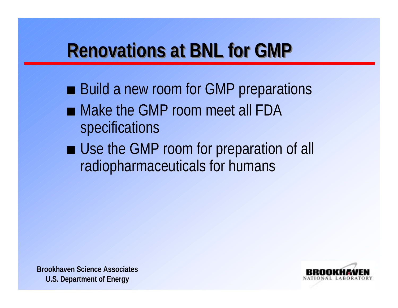## **Renovations at BNL for GMP**

- Build a new room for GMP preparations
- Make the GMP room meet all FDA specifications
- Use the GMP room for preparation of all radiopharmaceuticals for humans



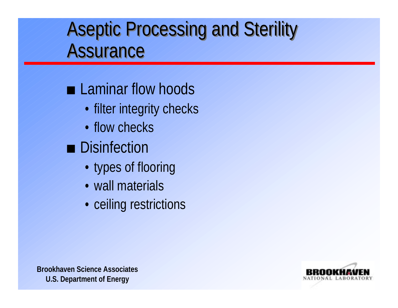#### Aseptic Processing and Sterility Aseptic Processing and Sterility Assurance

#### **Laminar flow hoods**

- filter integrity checks
- flow checks
- **Disinfection** 
	- types of flooring
	- wall materials
	- ceiling restrictions

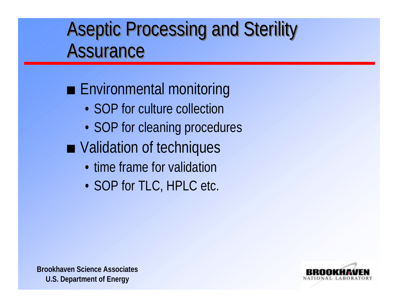#### Aseptic Processing and Sterility Aseptic Processing and Sterility Assurance Assurance

#### **Environmental monitoring**

- SOP for culture collection
- SOP for cleaning procedures
- Validation of techniques
	- time frame for validation
	- SOP for TLC, HPLC etc.

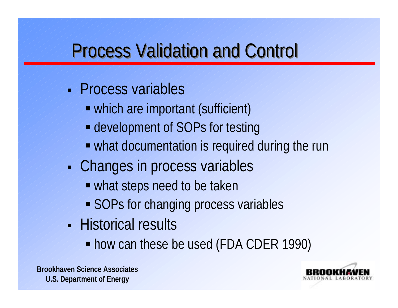## Process Validation and Control Process Validation and Control

- Process variables
	- which are important (sufficient)
	- $\blacksquare$  development of SOPs for testing
	- what documentation is required during the run
- н **- Changes in process variables** 
	- what steps need to be taken
	- **SOPs for changing process variables**
- Historical results
	- how can these be used (FDA CDER 1990)

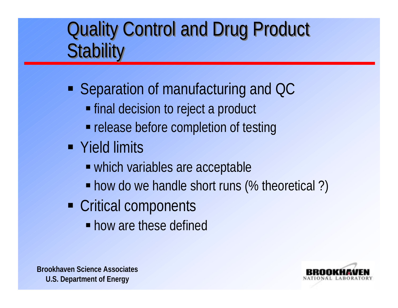#### Quality Control and Drug Product Quality Control and Drug Product **Stability**

- Separation of manufacturing and QC
	- **Final decision to reject a product**
	- **release before completion of testing**
- Yield limits
	- which variables are acceptable
	- how do we handle short runs (% theoretical?)
- Critical components
	- **how are these defined**

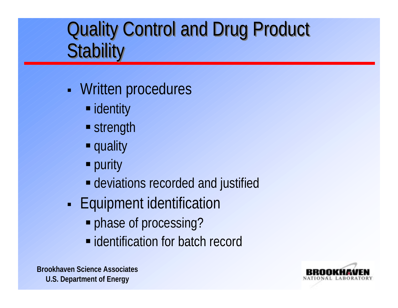### Quality Control and Drug Product Quality Control and Drug Product **Stability**

- н **Written procedures** 
	- **I** identity
	- **Strength**
	- **quality**
	- **P** purity
	- deviations recorded and justified
- н **Equipment identification** 
	- **phase of processing?**
	- $\blacksquare$  identification for batch record

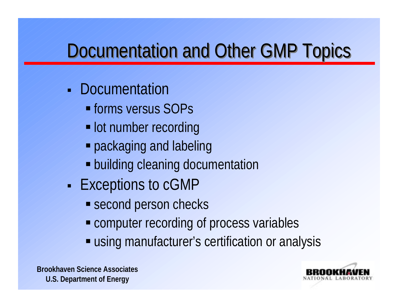## Documentation and Other GMP Topics

- **Documentation** 
	- **forms versus SOPs**
	- **lot number recording**
	- **packaging and labeling**
	- **Example 20 Figure 10 Figure 10 Figure 10 Figure 10 Figure 10 Figure 10 Figure 10 Figure 10 Figure 10 Figure 10 Figure 10 Figure 10 Figure 10 Figure 10 Figure 10 Figure 10 Figure 10 Figure 10 Figure 10 Figure 10 Figure 10**
- н - Exceptions to cGMP
	- **Second person checks**
	- **Example computer recording of process variables**
	- **Example 1 using manufacturer's certification or analysis**

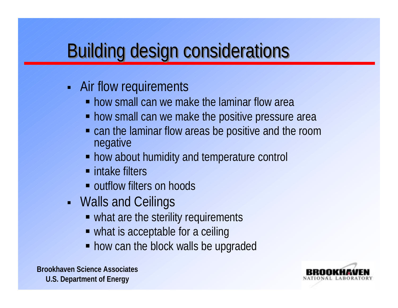## **Building design considerations**

- **Air flow requirements** 
	- **how small can we make the laminar flow area**
	- how small can we make the positive pressure area
	- **Example 1** can the laminar flow areas be positive and the room negative
	- **how about humidity and temperature control**
	- $\blacksquare$  intake filters
	- **outflow filters on hoods**
- Walls and Ceilings
	- what are the sterility requirements
	- what is acceptable for a ceiling
	- **how can the block walls be upgraded**

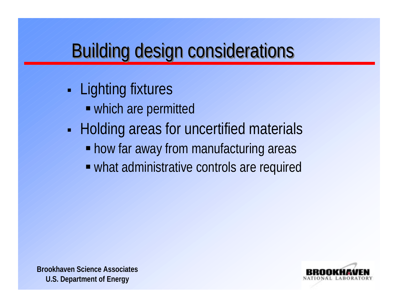## **Building design considerations**

- н **Lighting fixtures** 
	- which are permitted
- н **- Holding areas for uncertified materials** 
	- **how far away from manufacturing areas**
	- what administrative controls are required



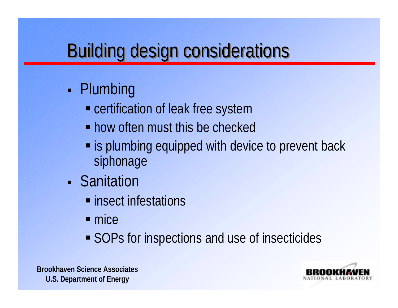## **Building design considerations**

#### н • Plumbing

- **Exercification of leak free system**
- **how often must this be checked**
- **Example 13 plumbing equipped with device to prevent back** siphonage
- Sanitation
	- **E** insect infestations
	- $mice$
	- SOPs for inspections and use of insecticides



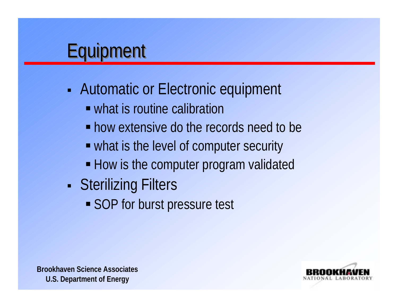## **Equipment**

- н **Automatic or Electronic equipment** 
	- what is routine calibration
	- **how extensive do the records need to be**
	- what is the level of computer security
	- **How is the computer program validated**
- н **Sterilizing Filters** 
	- **SOP** for burst pressure test



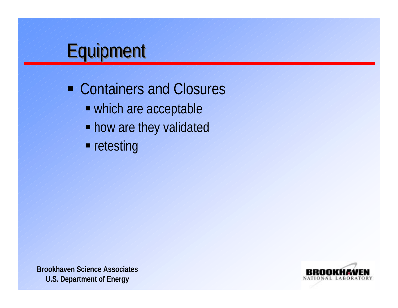#### **Equipment**

- **Containers and Closures** 
	- which are acceptable
	- **how are they validated**
	- **retesting**